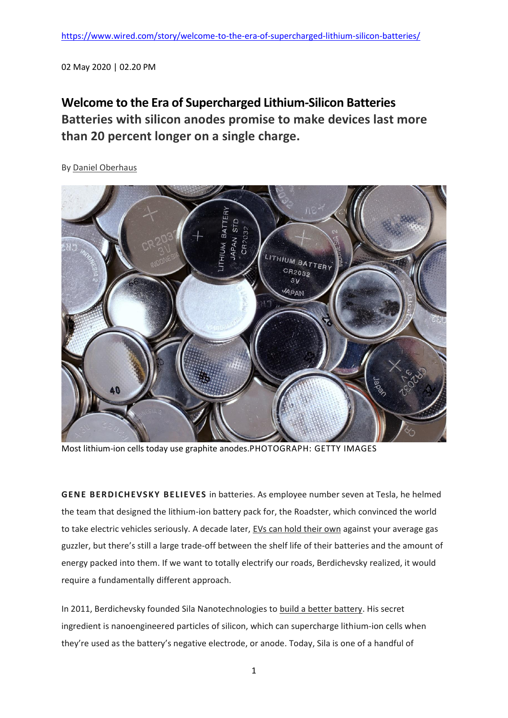02 May 2020 | 02.20 PM

## **Welcome to the Era of Supercharged Lithium-Silicon Batteries Batteries with silicon anodes promise to make devices last more than 20 percent longer on a single charge.**

By Daniel Oberhaus



Most lithium-ion cells today use graphite anodes.PHOTOGRAPH: GETTY IMAGES

**GENE BERDICHEVS KY BELIEVES** in batteries. As employee number seven at Tesla, he helmed the team that designed the lithium-ion battery pack for, the Roadster, which convinced the world to take electric vehicles seriously. A decade later, [EVs can hold their own](https://www.wired.com/story/tesla-may-soon-have-a-battery-that-can-last-a-million-miles/) against your average gas guzzler, but there's still a large trade-off between the shelf life of their batteries and the amount of energy packed into them. If we want to totally electrify our roads, Berdichevsky realized, it would require a fundamentally different approach.

In 2011, Berdichevsky founded Sila Nanotechnologies to [build a better battery.](https://www.wired.com/story/building-a-better-battery/) His secret ingredient is nanoengineered particles of silicon, which can supercharge lithium-ion cells when they're used as the battery's negative electrode, or anode. Today, Sila is one of a handful of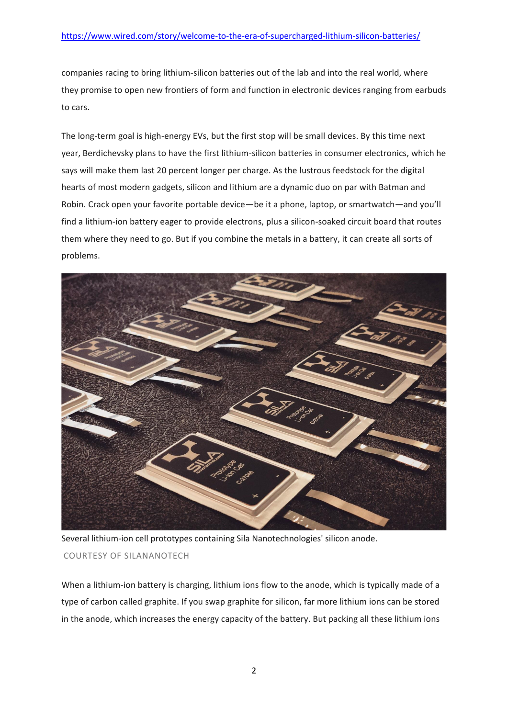companies racing to bring lithium-silicon batteries out of the lab and into the real world, where they promise to open new frontiers of form and function in electronic devices ranging from earbuds to cars.

The long-term goal is high-energy EVs, but the first stop will be small devices. By this time next year, Berdichevsky plans to have the first lithium-silicon batteries in consumer electronics, which he says will make them last 20 percent longer per charge. As the lustrous feedstock for the digital hearts of most modern gadgets, silicon and lithium are a dynamic duo on par with Batman and Robin. Crack open your favorite portable device—be it a phone, laptop, or smartwatch—and you'll find a lithium-ion battery eager to provide electrons, plus a silicon-soaked circuit board that routes them where they need to go. But if you combine the metals in a battery, it can create all sorts of problems.



Several lithium-ion cell prototypes containing Sila Nanotechnologies' silicon anode.

## COURTESY OF SILANANOTECH

When a lithium-ion battery is charging, lithium ions flow to the anode, which is typically made of a type of carbon called graphite. If you swap graphite for silicon, far more lithium ions can be stored in the anode, which increases the energy capacity of the battery. But packing all these lithium ions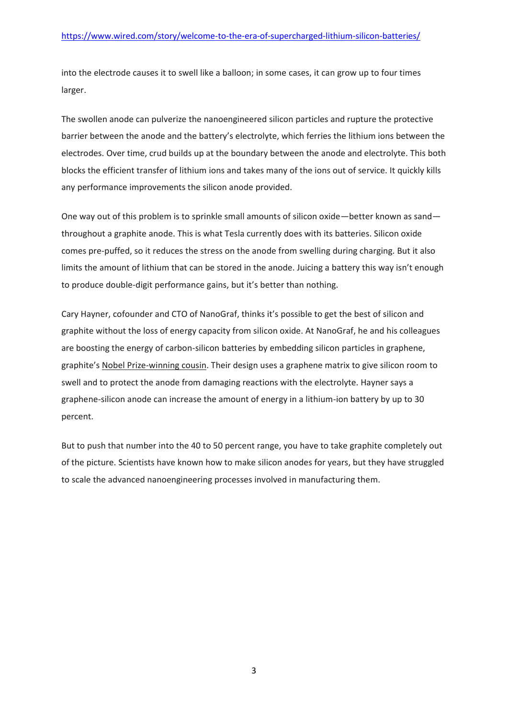into the electrode causes it to swell like a balloon; in some cases, it can grow up to four times larger.

The swollen anode can pulverize the nanoengineered silicon particles and rupture the protective barrier between the anode and the battery's electrolyte, which ferries the lithium ions between the electrodes. Over time, crud builds up at the boundary between the anode and electrolyte. This both blocks the efficient transfer of lithium ions and takes many of the ions out of service. It quickly kills any performance improvements the silicon anode provided.

One way out of this problem is to sprinkle small amounts of silicon oxide—better known as sand throughout a graphite anode. This is what Tesla currently does with its batteries. Silicon oxide comes pre-puffed, so it reduces the stress on the anode from swelling during charging. But it also limits the amount of lithium that can be stored in the anode. Juicing a battery this way isn't enough to produce double-digit performance gains, but it's better than nothing.

Cary Hayner, cofounder and CTO of NanoGraf, thinks it's possible to get the best of silicon and graphite without the loss of energy capacity from silicon oxide. At NanoGraf, he and his colleagues are boosting the energy of carbon-silicon batteries by embedding silicon particles in graphene, graphite's [Nobel Prize-winning cousin.](https://www.wired.com/2010/10/graphene/) Their design uses a graphene matrix to give silicon room to swell and to protect the anode from damaging reactions with the electrolyte. Hayner says a graphene-silicon anode can increase the amount of energy in a lithium-ion battery by up to 30 percent.

But to push that number into the 40 to 50 percent range, you have to take graphite completely out of the picture. Scientists have known how to make silicon anodes for years, but they have struggled to scale the advanced nanoengineering processes involved in manufacturing them.

3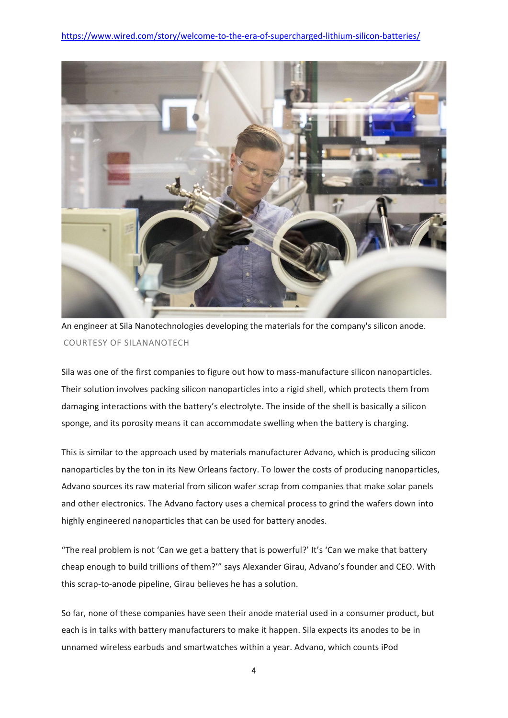

An engineer at Sila Nanotechnologies developing the materials for the company's silicon anode. COURTESY OF SILANANOTECH

Sila was one of the first companies to figure out how to mass-manufacture silicon nanoparticles. Their solution involves packing silicon nanoparticles into a rigid shell, which protects them from damaging interactions with the battery's electrolyte. The inside of the shell is basically a silicon sponge, and its porosity means it can accommodate swelling when the battery is charging.

This is similar to the approach used by materials manufacturer Advano, which is producing silicon nanoparticles by the ton in its New Orleans factory. To lower the costs of producing nanoparticles, Advano sources its raw material from silicon wafer scrap from companies that make solar panels and other electronics. The Advano factory uses a chemical process to grind the wafers down into highly engineered nanoparticles that can be used for battery anodes.

"The real problem is not 'Can we get a battery that is powerful?' It's 'Can we make that battery cheap enough to build trillions of them?'" says Alexander Girau, Advano's founder and CEO. With this scrap-to-anode pipeline, Girau believes he has a solution.

So far, none of these companies have seen their anode material used in a consumer product, but each is in talks with battery manufacturers to make it happen. Sila expects its anodes to be in unnamed wireless earbuds and smartwatches within a year. Advano, which counts iPod

4